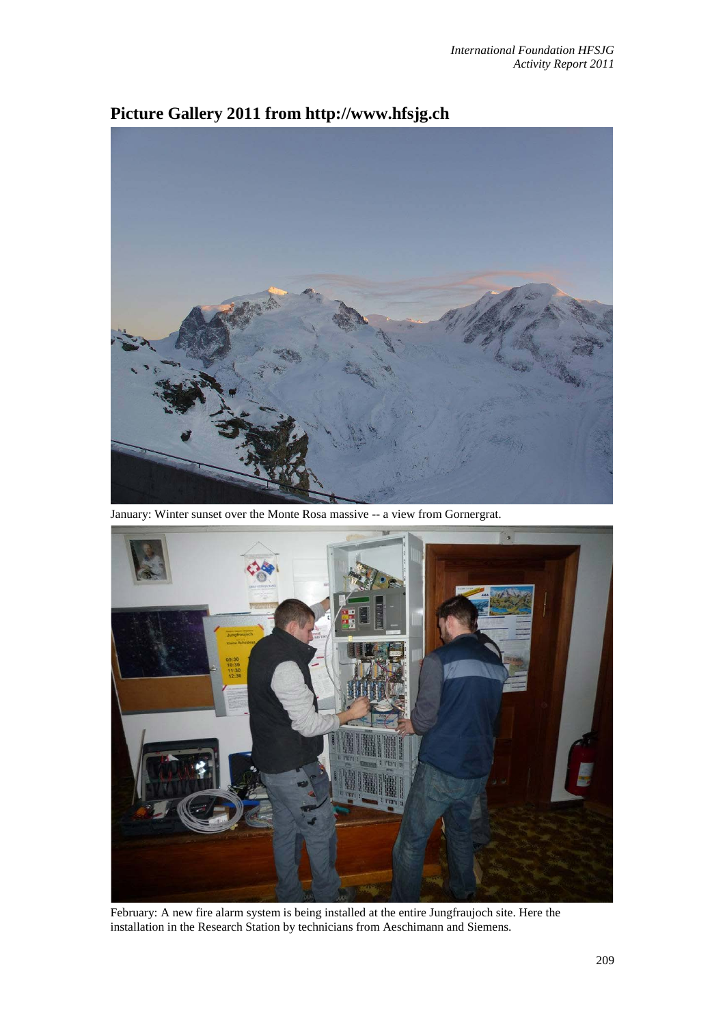

## **Picture Gallery 2011 from http://www.hfsjg.ch**

January: Winter sunset over the Monte Rosa massive -- a view from Gornergrat.



February: A new fire alarm system is being installed at the entire Jungfraujoch site. Here the installation in the Research Station by technicians from Aeschimann and Siemens.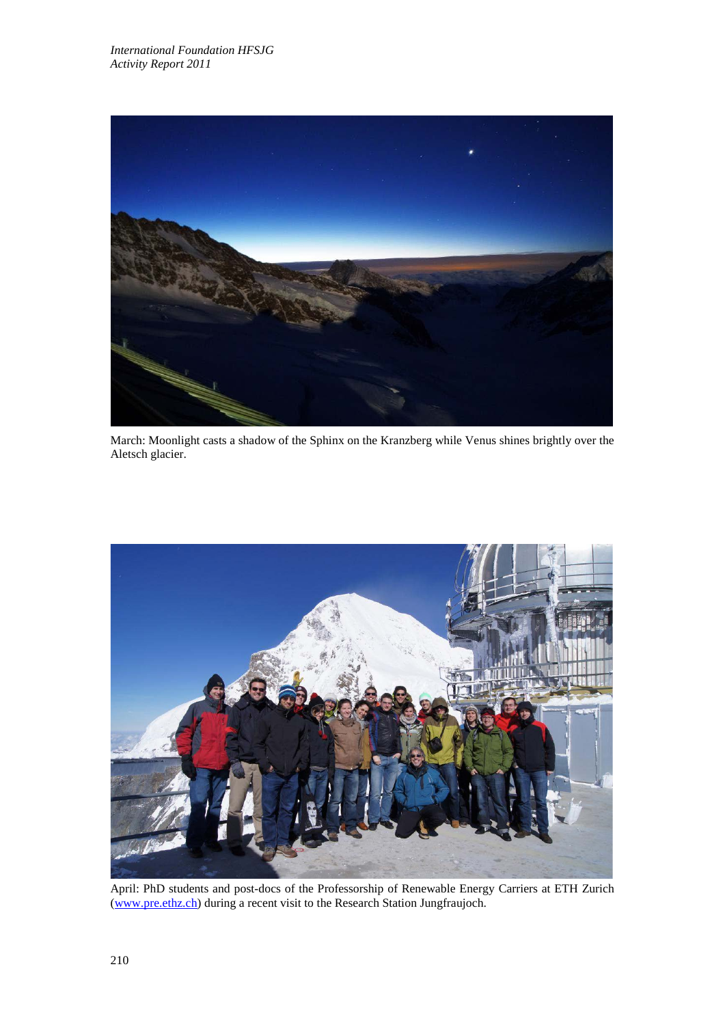

March: Moonlight casts a shadow of the Sphinx on the Kranzberg while Venus shines brightly over the Aletsch glacier.



April: PhD students and post-docs of the Professorship of Renewable Energy Carriers at ETH Zurich [\(www.pre.ethz.ch\)](http://www.pre.ethz.ch/) during a recent visit to the Research Station Jungfraujoch.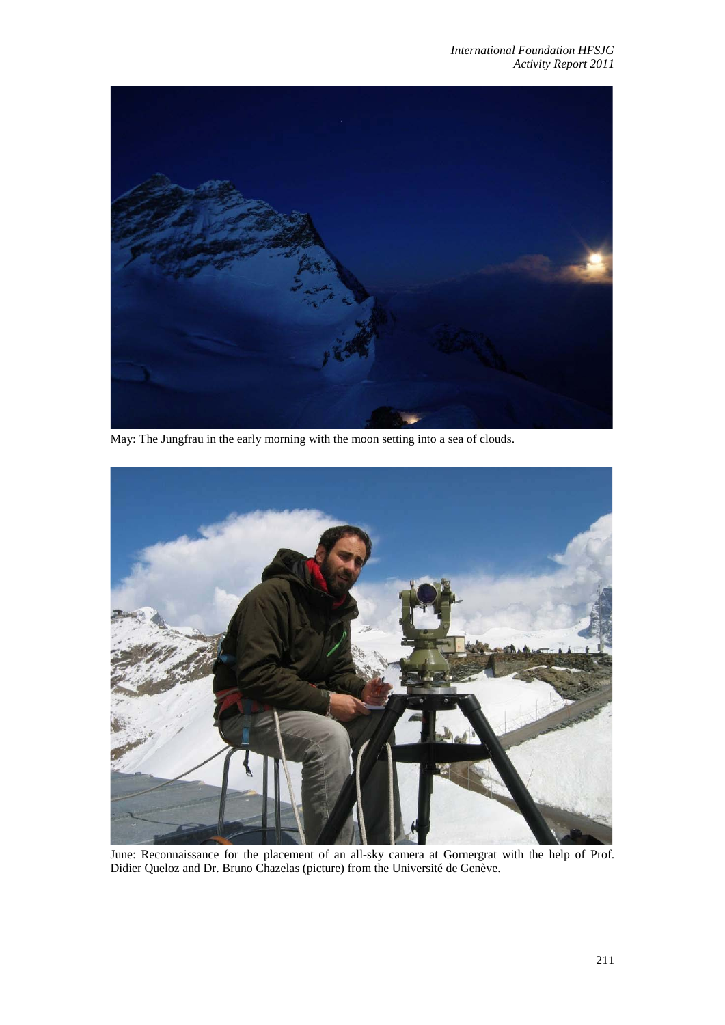

May: The Jungfrau in the early morning with the moon setting into a sea of clouds.



June: Reconnaissance for the placement of an all-sky camera at Gornergrat with the help of Prof. Didier Queloz and Dr. Bruno Chazelas (picture) from the Université de Genève.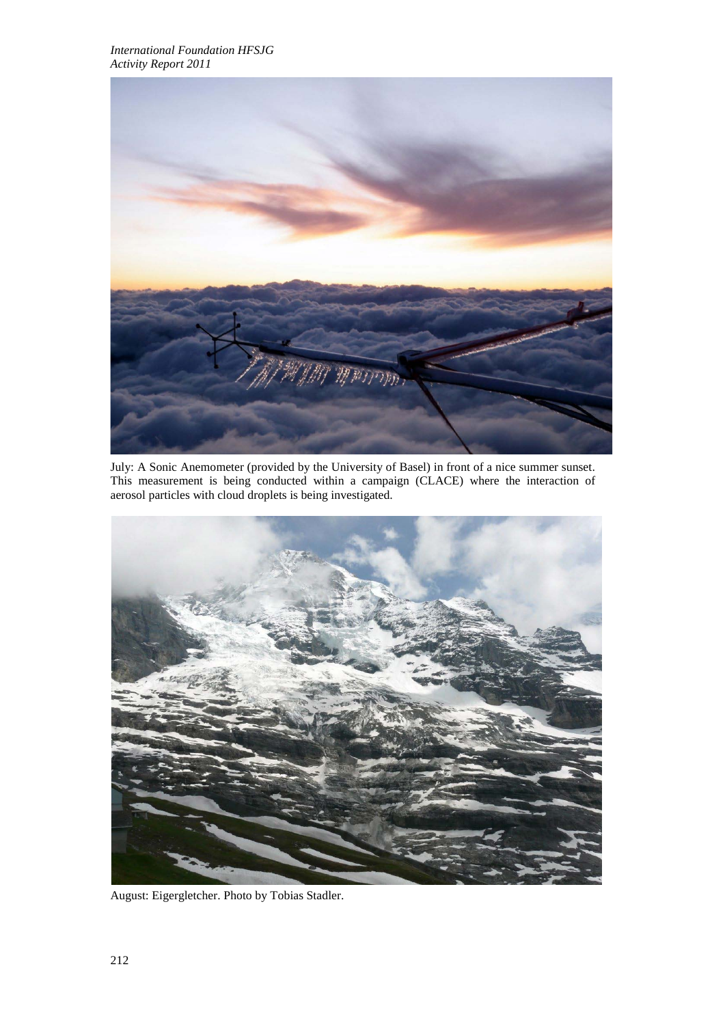

July: A Sonic Anemometer (provided by the University of Basel) in front of a nice summer sunset. This measurement is being conducted within a campaign (CLACE) where the interaction of aerosol particles with cloud droplets is being investigated.



August: Eigergletcher. Photo by Tobias Stadler.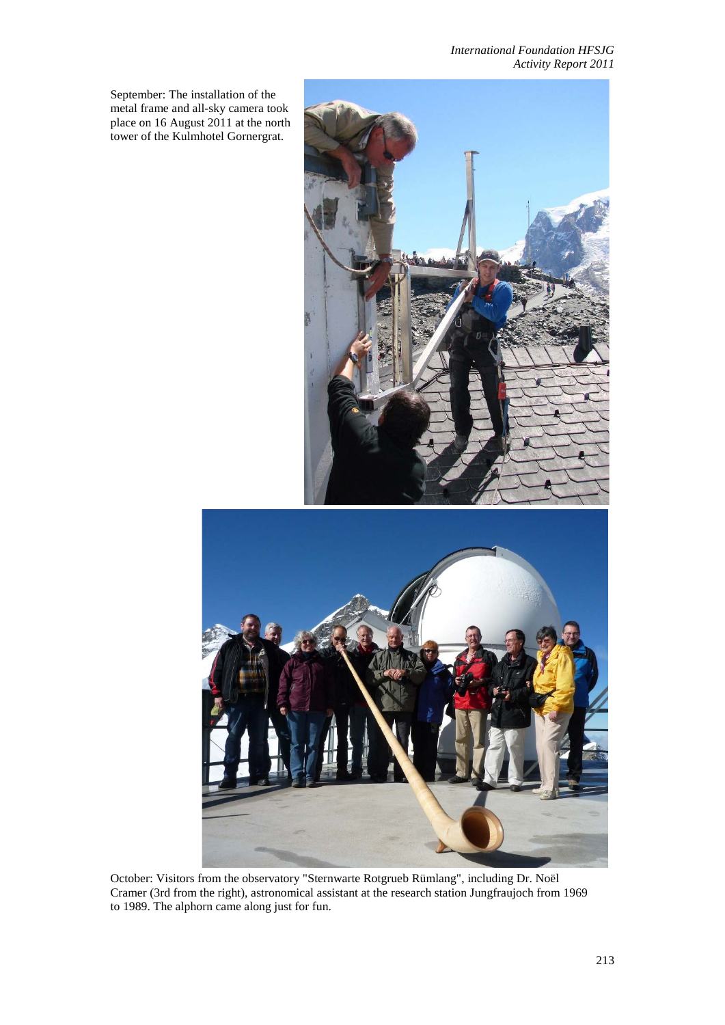*International Foundation HFSJG Activity Report 2011*

September: The installation of the metal frame and all-sky camera took place on 16 August 2011 at the north tower of the Kulmhotel Gornergrat.



October: Visitors from the observatory "Sternwarte Rotgrueb Rümlang", including Dr. Noël Cramer (3rd from the right), astronomical assistant at the research station Jungfraujoch from 1969 to 1989. The alphorn came along just for fun.